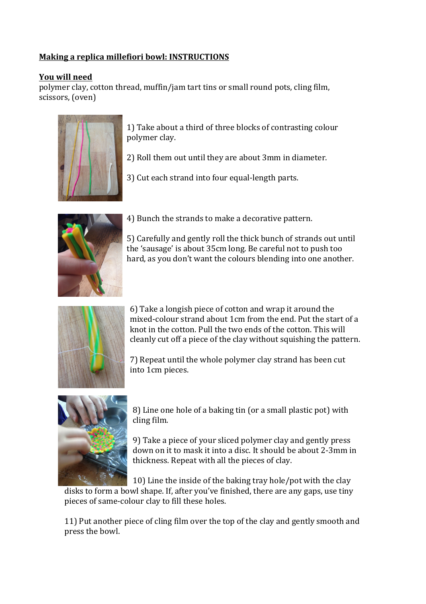## **Making a replica millefiori bowl: INSTRUCTIONS**

## **You will need**

polymer clay, cotton thread, muffin/jam tart tins or small round pots, cling film, scissors, (oven)



1) Take about a third of three blocks of contrasting colour polymer clay.

2) Roll them out until they are about 3mm in diameter.

3) Cut each strand into four equal-length parts.



4) Bunch the strands to make a decorative pattern.

5) Carefully and gently roll the thick bunch of strands out until the 'sausage' is about 35cm long. Be careful not to push too hard, as you don't want the colours blending into one another.



6) Take a longish piece of cotton and wrap it around the mixed-colour strand about 1cm from the end. Put the start of a knot in the cotton. Pull the two ends of the cotton. This will cleanly cut off a piece of the clay without squishing the pattern.

7) Repeat until the whole polymer clay strand has been cut into 1cm pieces.



8) Line one hole of a baking tin (or a small plastic pot) with cling film.

9) Take a piece of your sliced polymer clay and gently press down on it to mask it into a disc. It should be about 2-3mm in thickness. Repeat with all the pieces of clay.

10) Line the inside of the baking tray hole/pot with the clay disks to form a bowl shape. If, after you've finished, there are any gaps, use tiny pieces of same-colour clay to fill these holes.

11) Put another piece of cling film over the top of the clay and gently smooth and press the bowl.